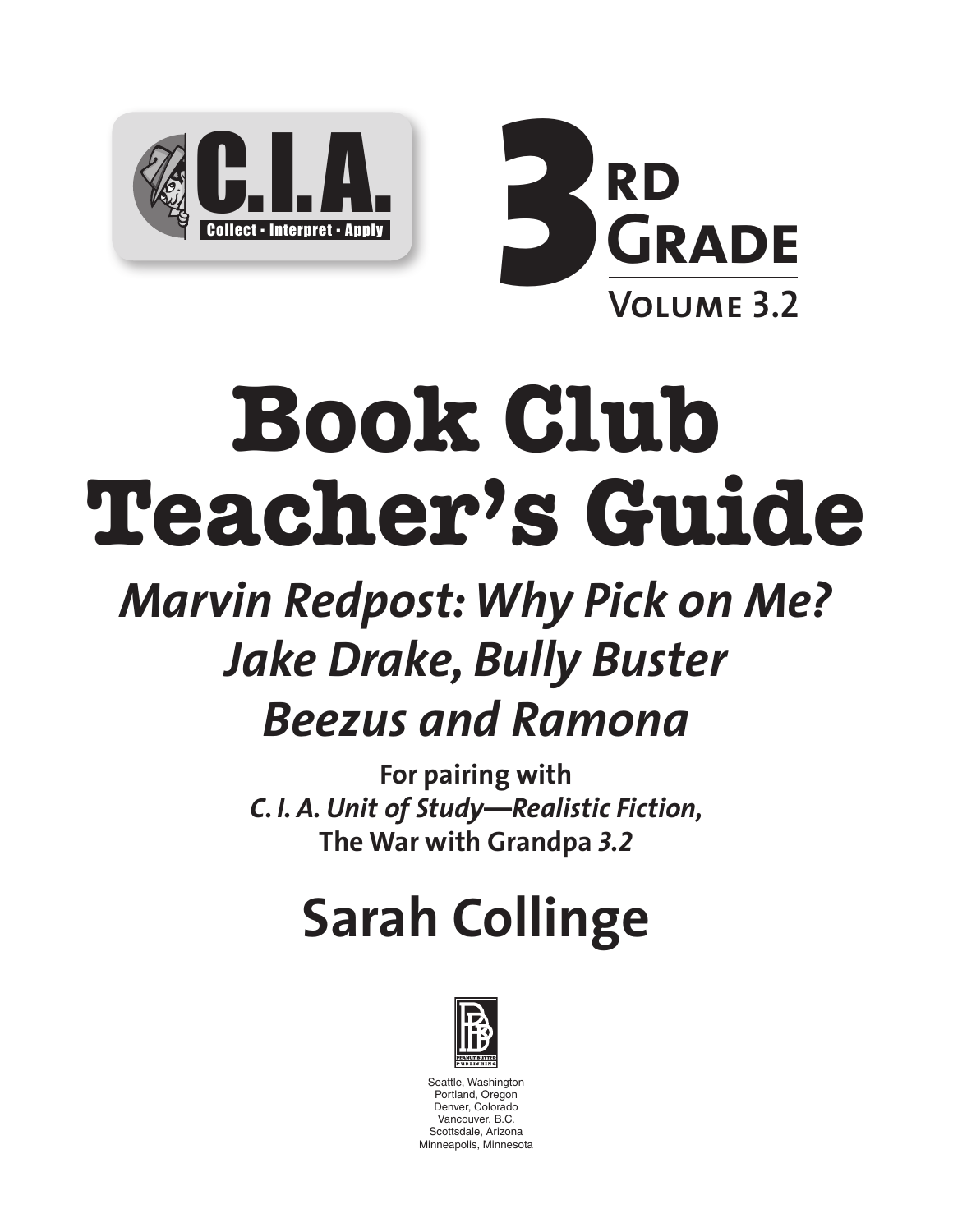



# **Book Club Teacher's Guide**

# *Marvin Redpost: Why Pick on Me? Jake Drake, Bully Buster Beezus and Ramona*

**For pairing with**  *C. I. A. Unit of Study—Realistic Fiction,*  **The War with Grandpa** *3.2*

# **Sarah Collinge**



Seattle, Washington Portland, Oregon Denver, Colorado Vancouver, B.C. Scottsdale, Arizona Minneapolis, Minnesota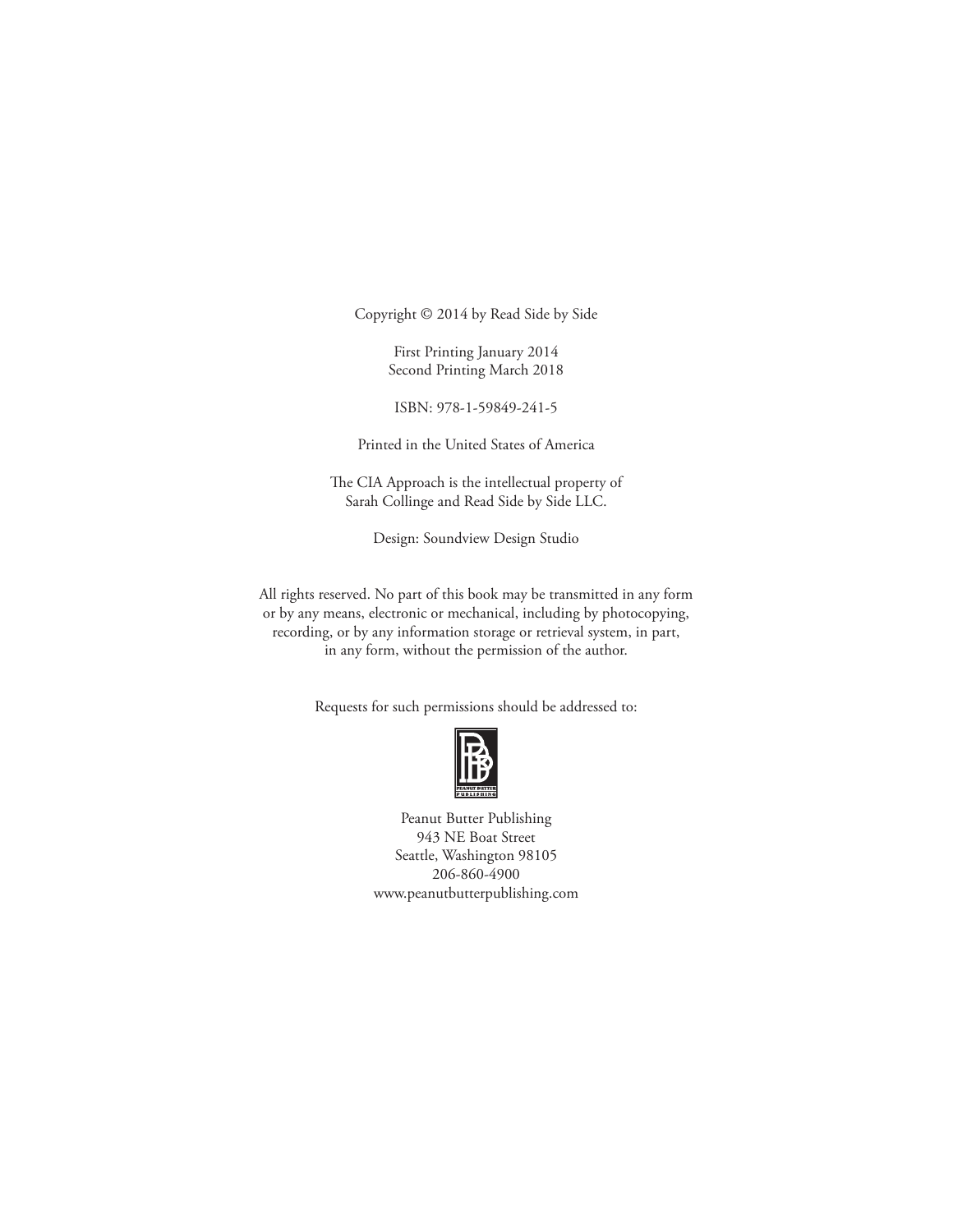Copyright © 2014 by Read Side by Side

First Printing January 2014 Second Printing March 2018

ISBN: 978-1-59849-241-5

Printed in the United States of America

The CIA Approach is the intellectual property of Sarah Collinge and Read Side by Side LLC.

Design: Soundview Design Studio

All rights reserved. No part of this book may be transmitted in any form or by any means, electronic or mechanical, including by photocopying, recording, or by any information storage or retrieval system, in part, in any form, without the permission of the author.

Requests for such permissions should be addressed to:



Peanut Butter Publishing 943 NE Boat Street Seattle, Washington 98105 206-860-4900 www.peanutbutterpublishing.com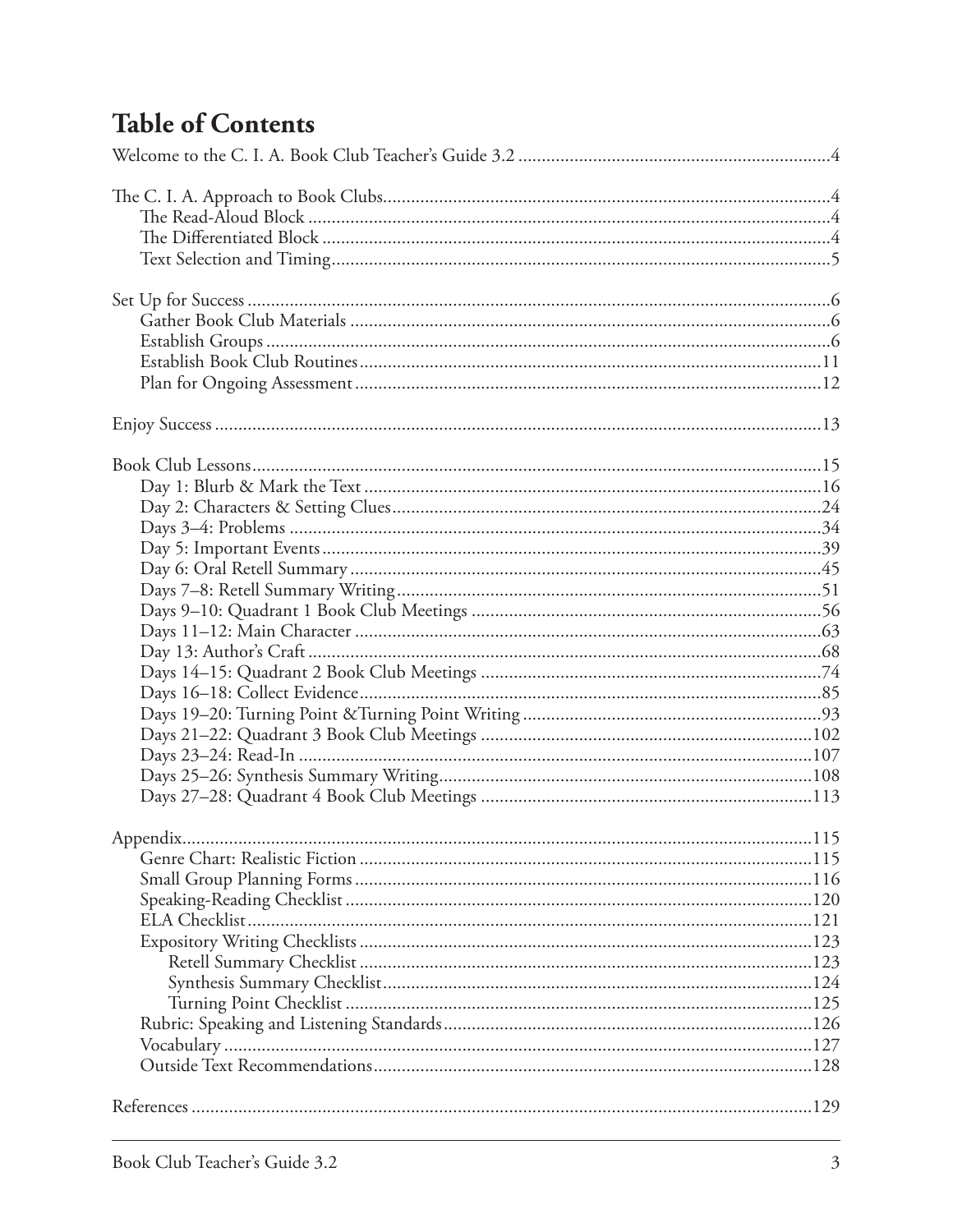### **Table of Contents**

| Appendix. | 115 |
|-----------|-----|
|           |     |
|           |     |
|           |     |
|           |     |
|           |     |
|           |     |
|           |     |
|           |     |
|           |     |
|           |     |
|           |     |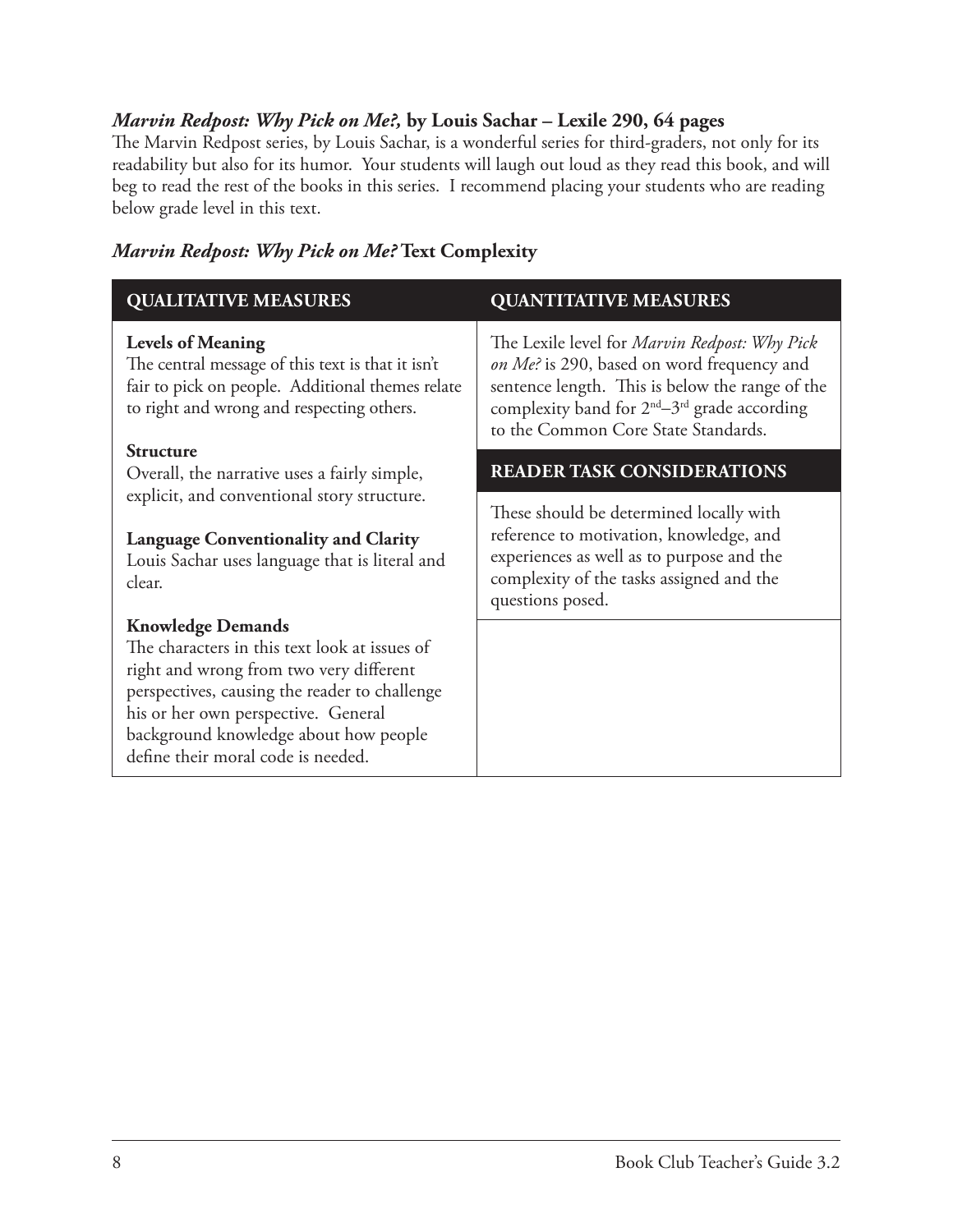#### *Marvin Redpost: Why Pick on Me?,* **by Louis Sachar – Lexile 290, 64 pages**

The Marvin Redpost series, by Louis Sachar, is a wonderful series for third-graders, not only for its readability but also for its humor. Your students will laugh out loud as they read this book, and will beg to read the rest of the books in this series. I recommend placing your students who are reading below grade level in this text.

### *Marvin Redpost: Why Pick on Me?* **Text Complexity**

| <b>QUALITATIVE MEASURES</b>                                                                                                                                                                                                                                                                 | <b>QUANTITATIVE MEASURES</b>                                                                                                                                                                                                                                         |
|---------------------------------------------------------------------------------------------------------------------------------------------------------------------------------------------------------------------------------------------------------------------------------------------|----------------------------------------------------------------------------------------------------------------------------------------------------------------------------------------------------------------------------------------------------------------------|
| <b>Levels of Meaning</b><br>The central message of this text is that it isn't<br>fair to pick on people. Additional themes relate<br>to right and wrong and respecting others.                                                                                                              | The Lexile level for <i>Marvin Redpost: Why Pick</i><br>on Me? is 290, based on word frequency and<br>sentence length. This is below the range of the<br>complexity band for 2 <sup>nd</sup> -3 <sup>rd</sup> grade according<br>to the Common Core State Standards. |
| <b>Structure</b><br>Overall, the narrative uses a fairly simple,                                                                                                                                                                                                                            | <b>READER TASK CONSIDERATIONS</b>                                                                                                                                                                                                                                    |
| explicit, and conventional story structure.<br><b>Language Conventionality and Clarity</b><br>Louis Sachar uses language that is literal and<br>clear.                                                                                                                                      | These should be determined locally with<br>reference to motivation, knowledge, and<br>experiences as well as to purpose and the<br>complexity of the tasks assigned and the<br>questions posed.                                                                      |
| <b>Knowledge Demands</b><br>The characters in this text look at issues of<br>right and wrong from two very different<br>perspectives, causing the reader to challenge<br>his or her own perspective. General<br>background knowledge about how people<br>define their moral code is needed. |                                                                                                                                                                                                                                                                      |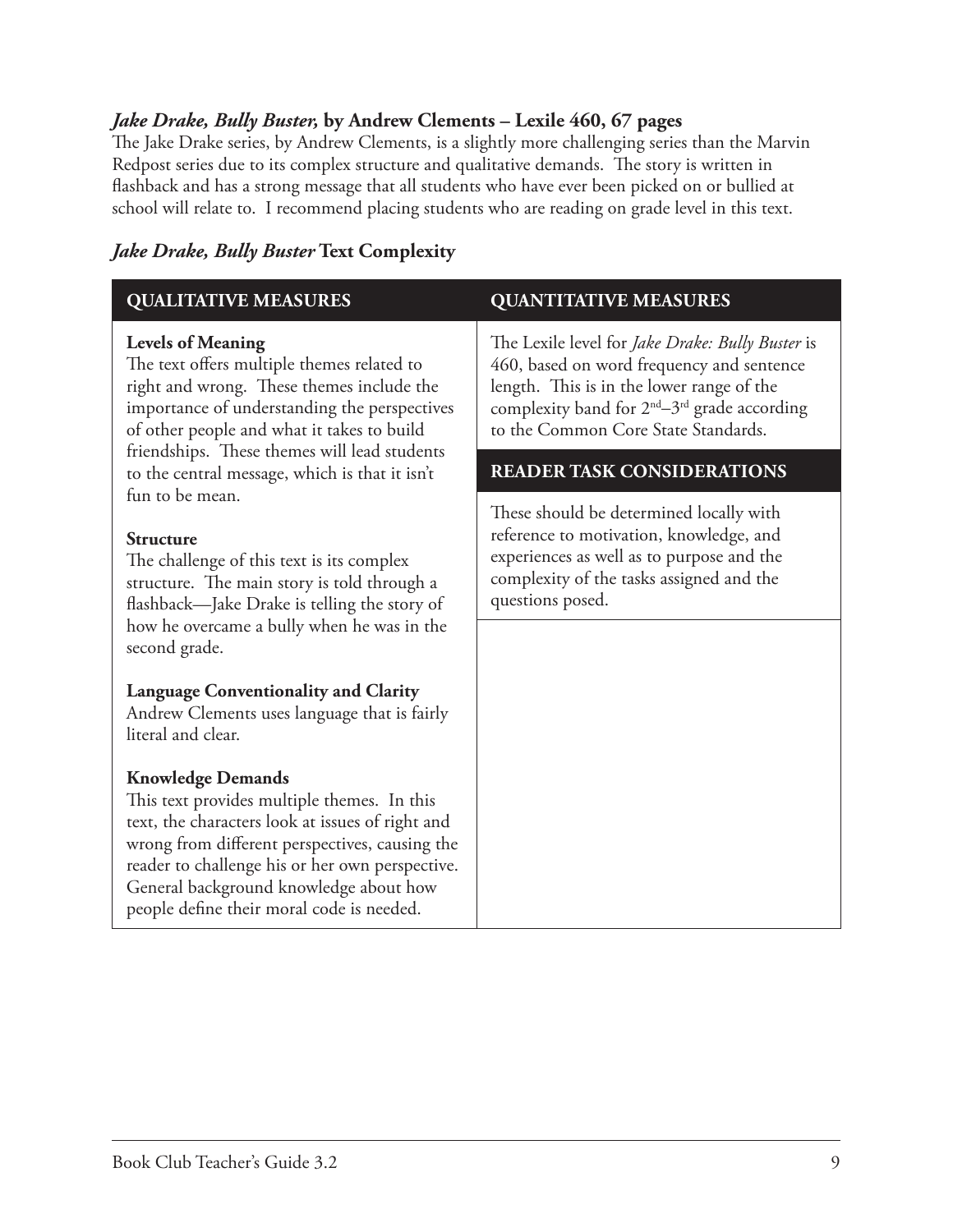#### *Jake Drake, Bully Buster,* **by Andrew Clements – Lexile 460, 67 pages**

The Jake Drake series, by Andrew Clements, is a slightly more challenging series than the Marvin Redpost series due to its complex structure and qualitative demands. The story is written in flashback and has a strong message that all students who have ever been picked on or bullied at school will relate to. I recommend placing students who are reading on grade level in this text.

#### *Jake Drake, Bully Buster* **Text Complexity**

| <b>QUALITATIVE MEASURES</b>                                                                                                                                                                                                                                                                                             | <b>QUANTITATIVE MEASURES</b>                                                                                                                                                                                                                              |
|-------------------------------------------------------------------------------------------------------------------------------------------------------------------------------------------------------------------------------------------------------------------------------------------------------------------------|-----------------------------------------------------------------------------------------------------------------------------------------------------------------------------------------------------------------------------------------------------------|
| <b>Levels of Meaning</b><br>The text offers multiple themes related to<br>right and wrong. These themes include the<br>importance of understanding the perspectives<br>of other people and what it takes to build<br>friendships. These themes will lead students<br>to the central message, which is that it isn't     | The Lexile level for Jake Drake: Bully Buster is<br>460, based on word frequency and sentence<br>length. This is in the lower range of the<br>complexity band for 2 <sup>nd</sup> -3 <sup>rd</sup> grade according<br>to the Common Core State Standards. |
|                                                                                                                                                                                                                                                                                                                         | <b>READER TASK CONSIDERATIONS</b>                                                                                                                                                                                                                         |
| fun to be mean.<br><b>Structure</b><br>The challenge of this text is its complex<br>structure. The main story is told through a<br>flashback-Jake Drake is telling the story of<br>how he overcame a bully when he was in the<br>second grade.                                                                          | These should be determined locally with<br>reference to motivation, knowledge, and<br>experiences as well as to purpose and the<br>complexity of the tasks assigned and the<br>questions posed.                                                           |
| <b>Language Conventionality and Clarity</b><br>Andrew Clements uses language that is fairly<br>literal and clear.                                                                                                                                                                                                       |                                                                                                                                                                                                                                                           |
| <b>Knowledge Demands</b><br>This text provides multiple themes. In this<br>text, the characters look at issues of right and<br>wrong from different perspectives, causing the<br>reader to challenge his or her own perspective.<br>General background knowledge about how<br>people define their moral code is needed. |                                                                                                                                                                                                                                                           |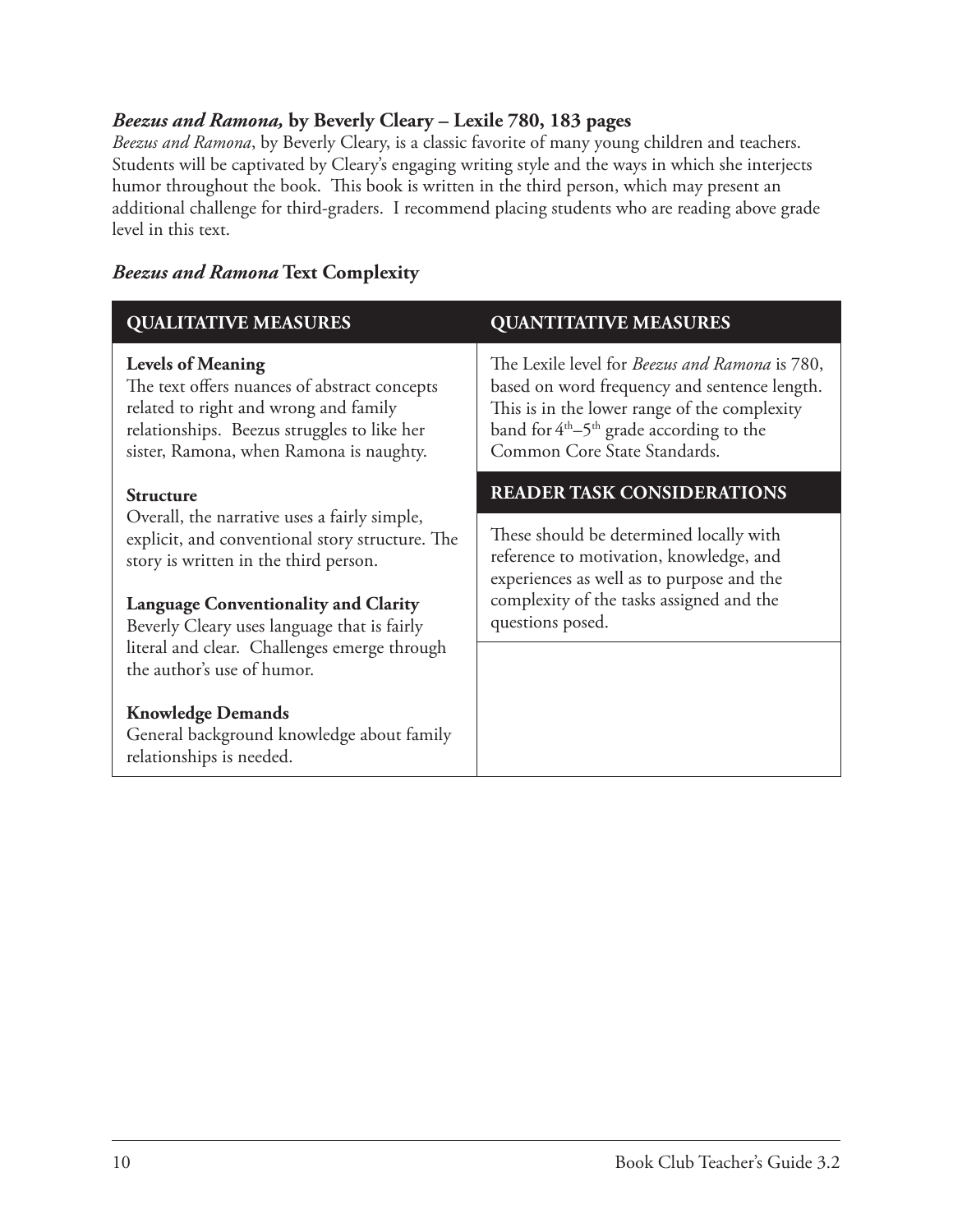#### *Beezus and Ramona,* **by Beverly Cleary – Lexile 780, 183 pages**

*Beezus and Ramona*, by Beverly Cleary, is a classic favorite of many young children and teachers. Students will be captivated by Cleary's engaging writing style and the ways in which she interjects humor throughout the book. This book is written in the third person, which may present an additional challenge for third-graders. I recommend placing students who are reading above grade level in this text.

| <b>QUALITATIVE MEASURES</b>                                                                                                                                                                                                                                                                                                              | <b>QUANTITATIVE MEASURES</b>                                                                                                                                                                                                         |
|------------------------------------------------------------------------------------------------------------------------------------------------------------------------------------------------------------------------------------------------------------------------------------------------------------------------------------------|--------------------------------------------------------------------------------------------------------------------------------------------------------------------------------------------------------------------------------------|
| <b>Levels of Meaning</b><br>The text offers nuances of abstract concepts<br>related to right and wrong and family<br>relationships. Beezus struggles to like her<br>sister, Ramona, when Ramona is naughty.                                                                                                                              | The Lexile level for <i>Beezus and Ramona</i> is 780,<br>based on word frequency and sentence length.<br>This is in the lower range of the complexity<br>band for $4th-5th$ grade according to the<br>Common Core State Standards.   |
| <b>Structure</b><br>Overall, the narrative uses a fairly simple,<br>explicit, and conventional story structure. The<br>story is written in the third person.<br><b>Language Conventionality and Clarity</b><br>Beverly Cleary uses language that is fairly<br>literal and clear. Challenges emerge through<br>the author's use of humor. | <b>READER TASK CONSIDERATIONS</b><br>These should be determined locally with<br>reference to motivation, knowledge, and<br>experiences as well as to purpose and the<br>complexity of the tasks assigned and the<br>questions posed. |
| <b>Knowledge Demands</b><br>General background knowledge about family<br>relationships is needed.                                                                                                                                                                                                                                        |                                                                                                                                                                                                                                      |

#### *Beezus and Ramona* **Text Complexity**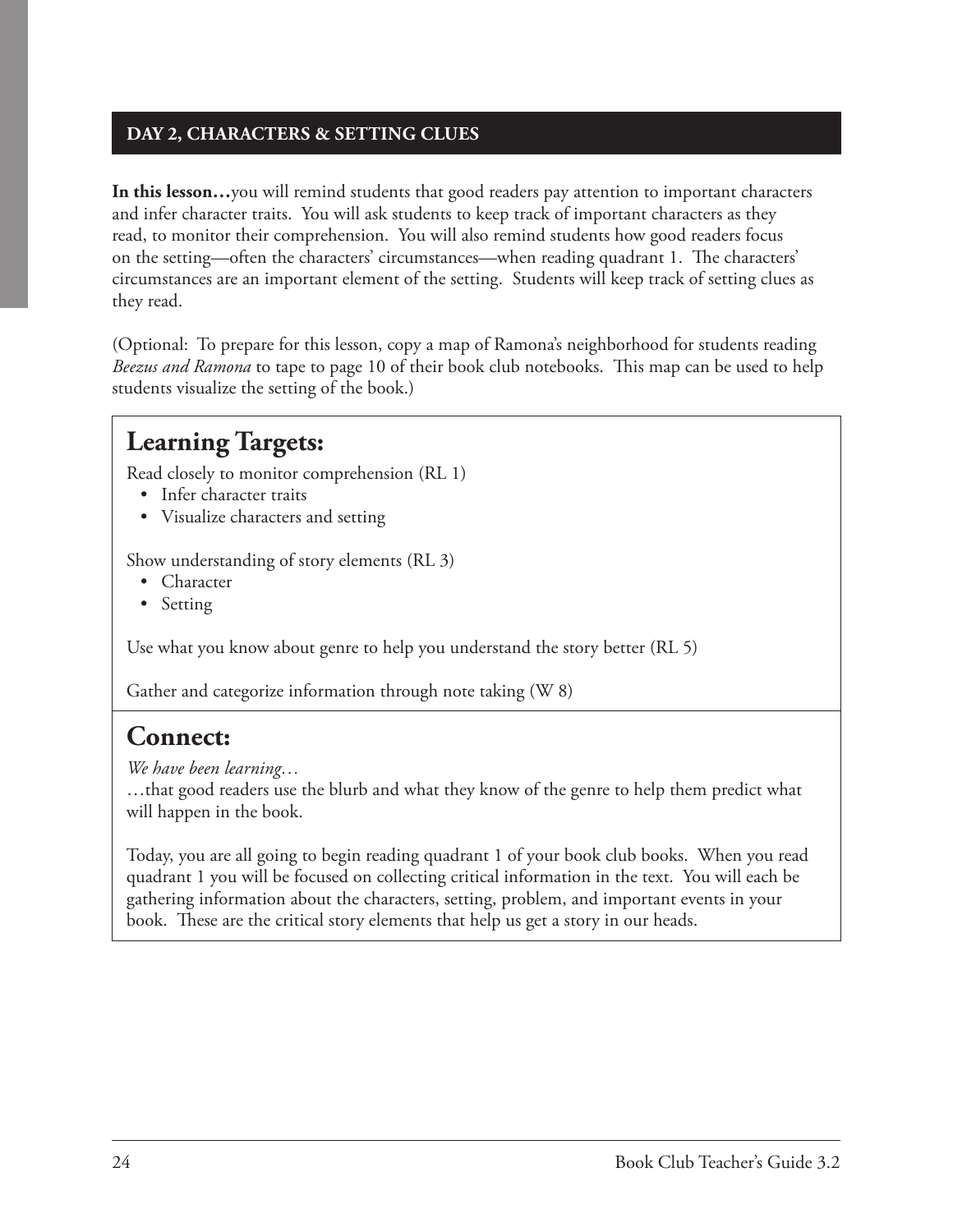#### **DAY 2, CHARACTERS & SETTING CLUES**

**In this lesson…**you will remind students that good readers pay attention to important characters and infer character traits. You will ask students to keep track of important characters as they read, to monitor their comprehension. You will also remind students how good readers focus on the setting—often the characters' circumstances—when reading quadrant 1. The characters' circumstances are an important element of the setting. Students will keep track of setting clues as they read.

(Optional: To prepare for this lesson, copy a map of Ramona's neighborhood for students reading *Beezus and Ramona* to tape to page 10 of their book club notebooks. This map can be used to help students visualize the setting of the book.)

### **Learning Targets:**

Read closely to monitor comprehension (RL 1)

- Infer character traits
- Visualize characters and setting

Show understanding of story elements (RL 3)

- Character
- Setting

Use what you know about genre to help you understand the story better (RL 5)

Gather and categorize information through note taking (W 8)

### **Connect:**

*We have been learning…*

…that good readers use the blurb and what they know of the genre to help them predict what will happen in the book.

Today, you are all going to begin reading quadrant 1 of your book club books. When you read quadrant 1 you will be focused on collecting critical information in the text. You will each be gathering information about the characters, setting, problem, and important events in your book. These are the critical story elements that help us get a story in our heads.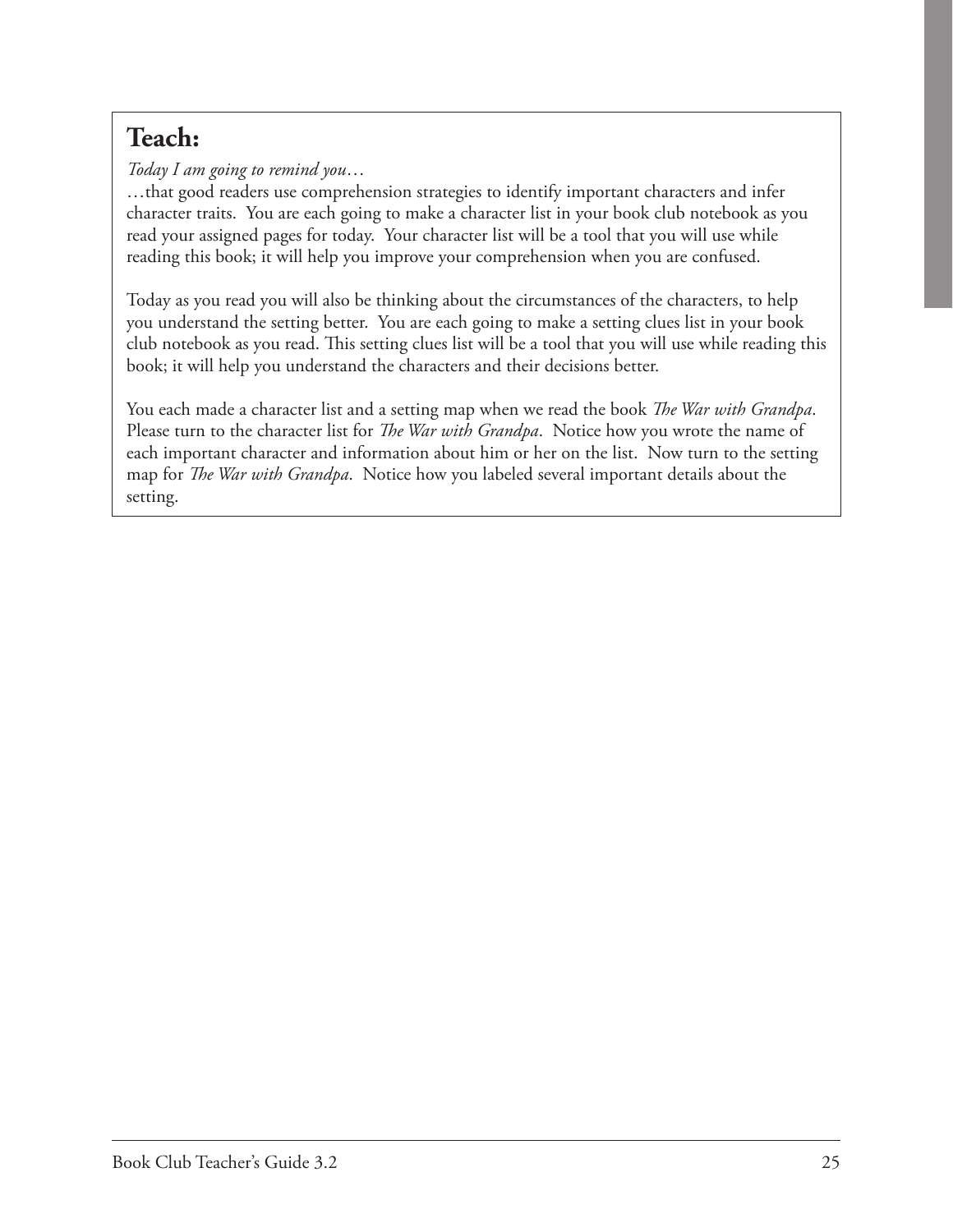## **Teach:**

*Today I am going to remind you*…

…that good readers use comprehension strategies to identify important characters and infer character traits. You are each going to make a character list in your book club notebook as you read your assigned pages for today. Your character list will be a tool that you will use while reading this book; it will help you improve your comprehension when you are confused.

Today as you read you will also be thinking about the circumstances of the characters, to help you understand the setting better. You are each going to make a setting clues list in your book club notebook as you read. This setting clues list will be a tool that you will use while reading this book; it will help you understand the characters and their decisions better.

You each made a character list and a setting map when we read the book *The War with Grandpa*. Please turn to the character list for *The War with Grandpa*. Notice how you wrote the name of each important character and information about him or her on the list. Now turn to the setting map for *The War with Grandpa*. Notice how you labeled several important details about the setting.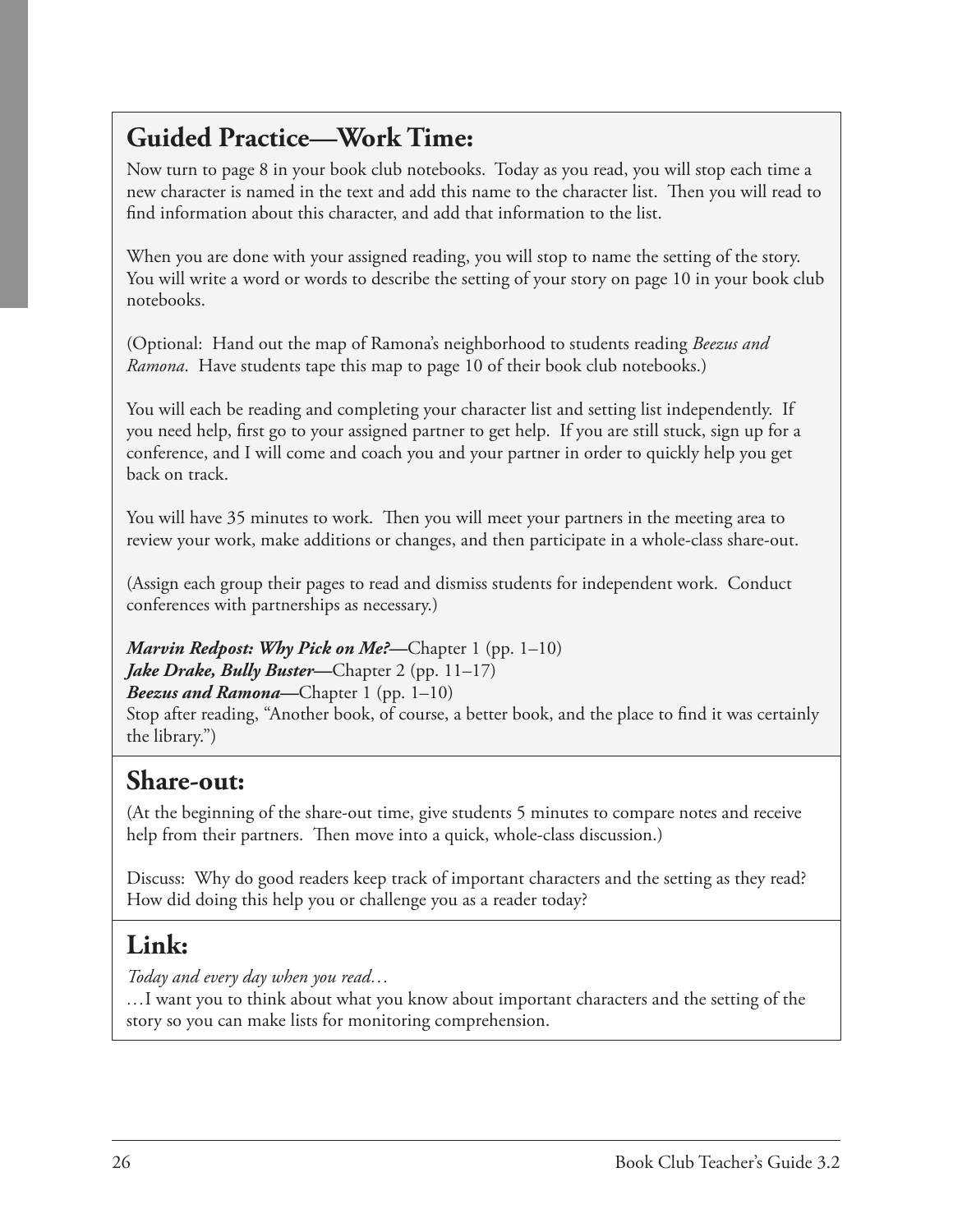### **Guided Practice—Work Time:**

Now turn to page 8 in your book club notebooks. Today as you read, you will stop each time a new character is named in the text and add this name to the character list. Then you will read to find information about this character, and add that information to the list.

When you are done with your assigned reading, you will stop to name the setting of the story. You will write a word or words to describe the setting of your story on page 10 in your book club notebooks.

(Optional: Hand out the map of Ramona's neighborhood to students reading *Beezus and Ramona*. Have students tape this map to page 10 of their book club notebooks.)

You will each be reading and completing your character list and setting list independently. If you need help, first go to your assigned partner to get help. If you are still stuck, sign up for a conference, and I will come and coach you and your partner in order to quickly help you get back on track.

You will have 35 minutes to work. Then you will meet your partners in the meeting area to review your work, make additions or changes, and then participate in a whole-class share-out.

(Assign each group their pages to read and dismiss students for independent work. Conduct conferences with partnerships as necessary.)

*Marvin Redpost: Why Pick on Me?*—Chapter 1 (pp. 1–10) *Jake Drake, Bully Buster*—Chapter 2 (pp. 11–17) *Beezus and Ramona—*Chapter 1 (pp. 1–10) Stop after reading, "Another book, of course, a better book, and the place to find it was certainly the library.")

### **Share-out:**

(At the beginning of the share-out time, give students 5 minutes to compare notes and receive help from their partners. Then move into a quick, whole-class discussion.)

Discuss: Why do good readers keep track of important characters and the setting as they read? How did doing this help you or challenge you as a reader today?

### **Link:**

*Today and every day when you read…*

*…*I want you to think about what you know about important characters and the setting of the story so you can make lists for monitoring comprehension.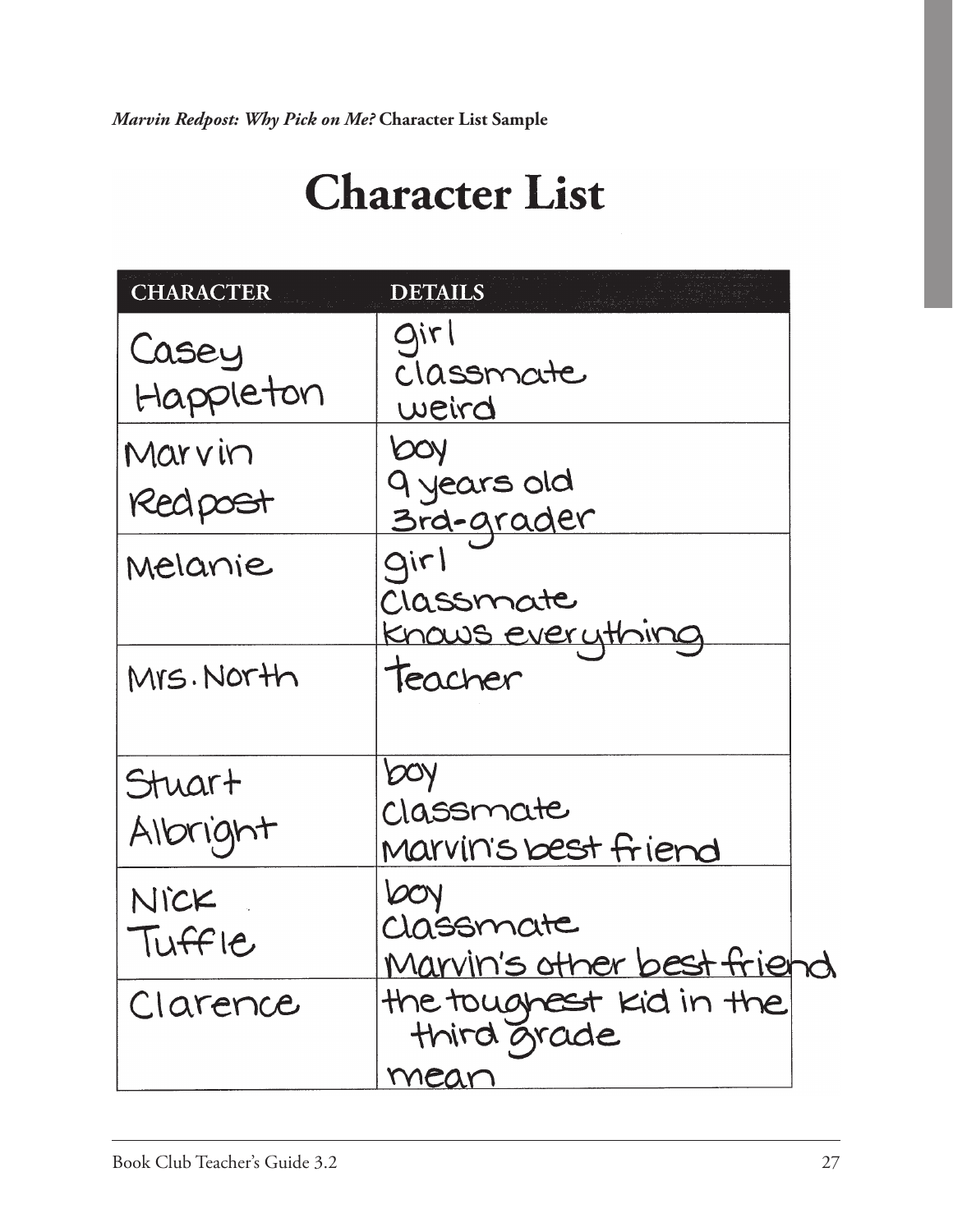*Marvin Redpost: Why Pick on Me?* **Character List Sample**

| <b>CHARACTER</b>   | <b>DETAILS</b>                                  |  |
|--------------------|-------------------------------------------------|--|
| Casey<br>Happleton | girl<br>classmate<br>weird                      |  |
| Marvin<br>Redpost  | <b>POA</b><br>9 years old<br><u> 3rd-grader</u> |  |
| Melanie            | girl<br>Classmate<br><u>Knows everything</u>    |  |
| Mrs. North         | teacher                                         |  |
| Stuart<br>Albright | bay<br>Classmate<br>Marvin's best friend        |  |
| NICK<br>TUFFIC     | DOV<br>Classmate<br>Marvin's other best friend  |  |
| Clarence           | the toughest kid in the<br>third grade<br>mean  |  |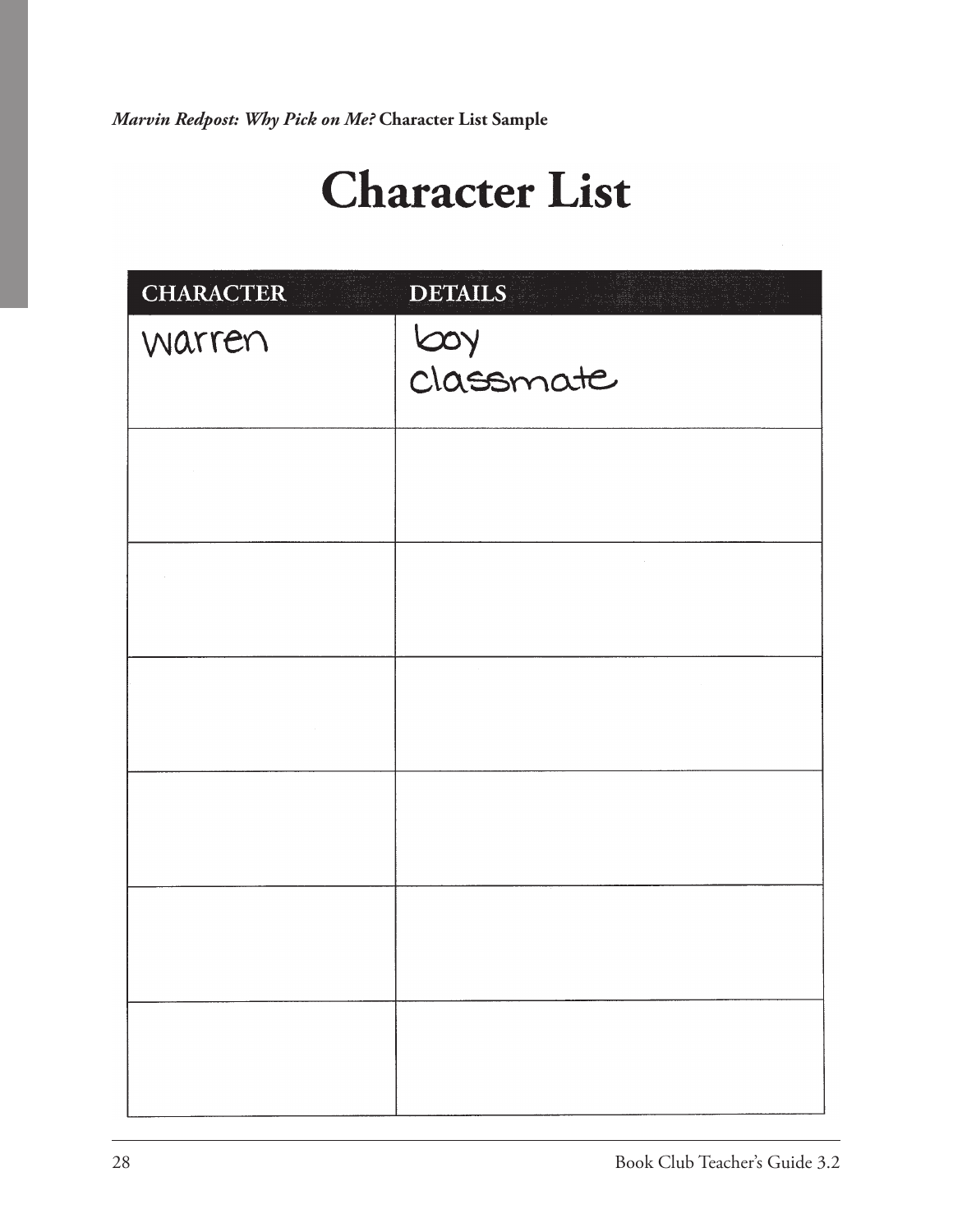*Marvin Redpost: Why Pick on Me?* **Character List Sample**

| <b>CHARACTER</b> | <b>DETAILS</b>                                            |
|------------------|-----------------------------------------------------------|
| warren           | Loy<br>Classmate                                          |
|                  |                                                           |
| $\sim$           |                                                           |
|                  |                                                           |
|                  | $\mathcal{L}(\mathcal{L})$ and $\mathcal{L}(\mathcal{L})$ |
|                  |                                                           |
|                  |                                                           |
| $\sim$ $\sim$    |                                                           |
|                  |                                                           |
|                  |                                                           |
|                  |                                                           |
|                  |                                                           |
|                  |                                                           |
|                  |                                                           |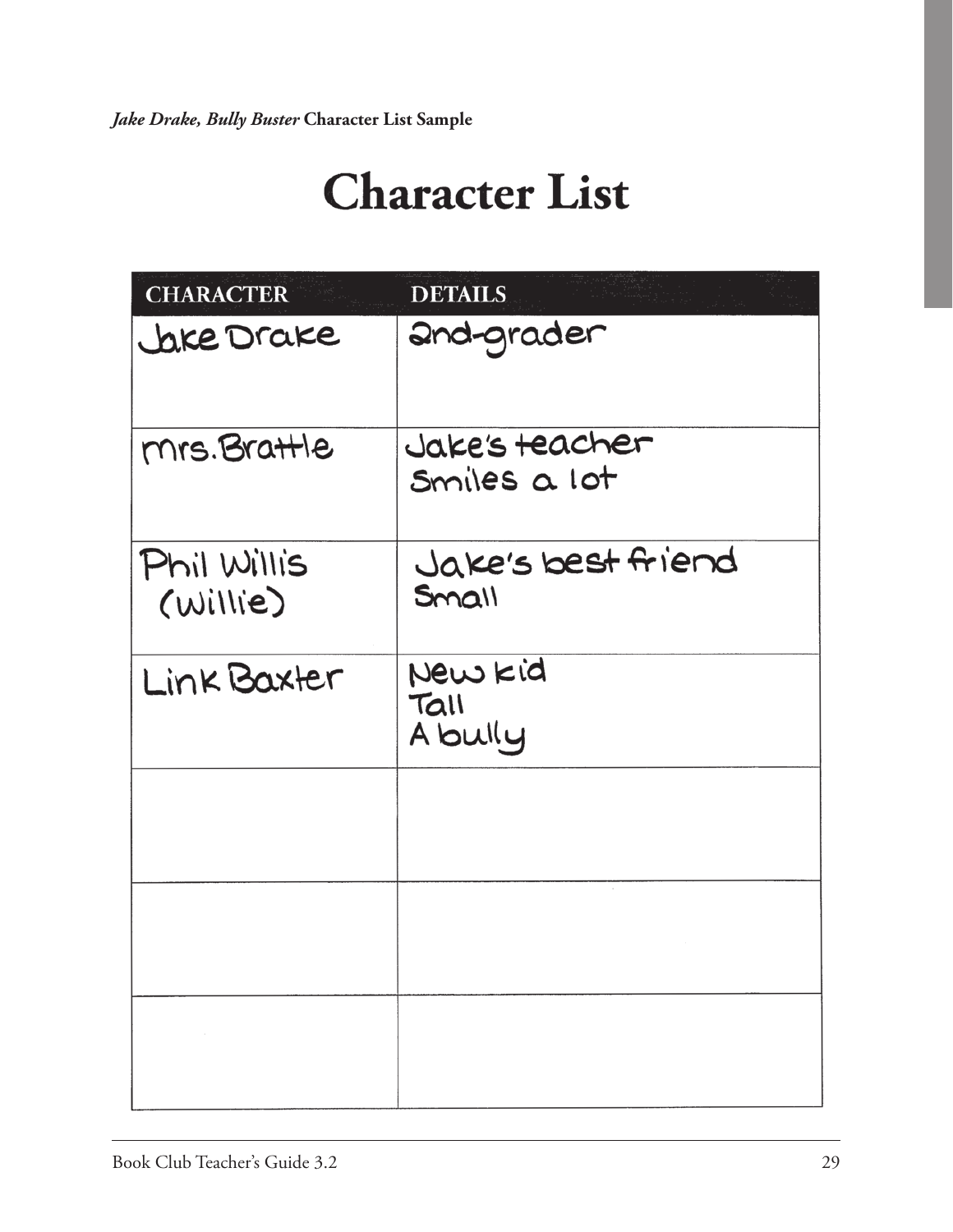| <b>CHARACTER</b>        | <b>DETAILS</b>                     |
|-------------------------|------------------------------------|
| Jake Drake              | and-grader                         |
| mrs. Brattle            | Jake's teacher<br>Smiles a lot     |
| Phil Willis<br>(willie) | Jake's best friend<br><b>Small</b> |
| Link Baxter             | New kid<br>Tall<br>A bully         |
|                         |                                    |
|                         |                                    |
| and the control         |                                    |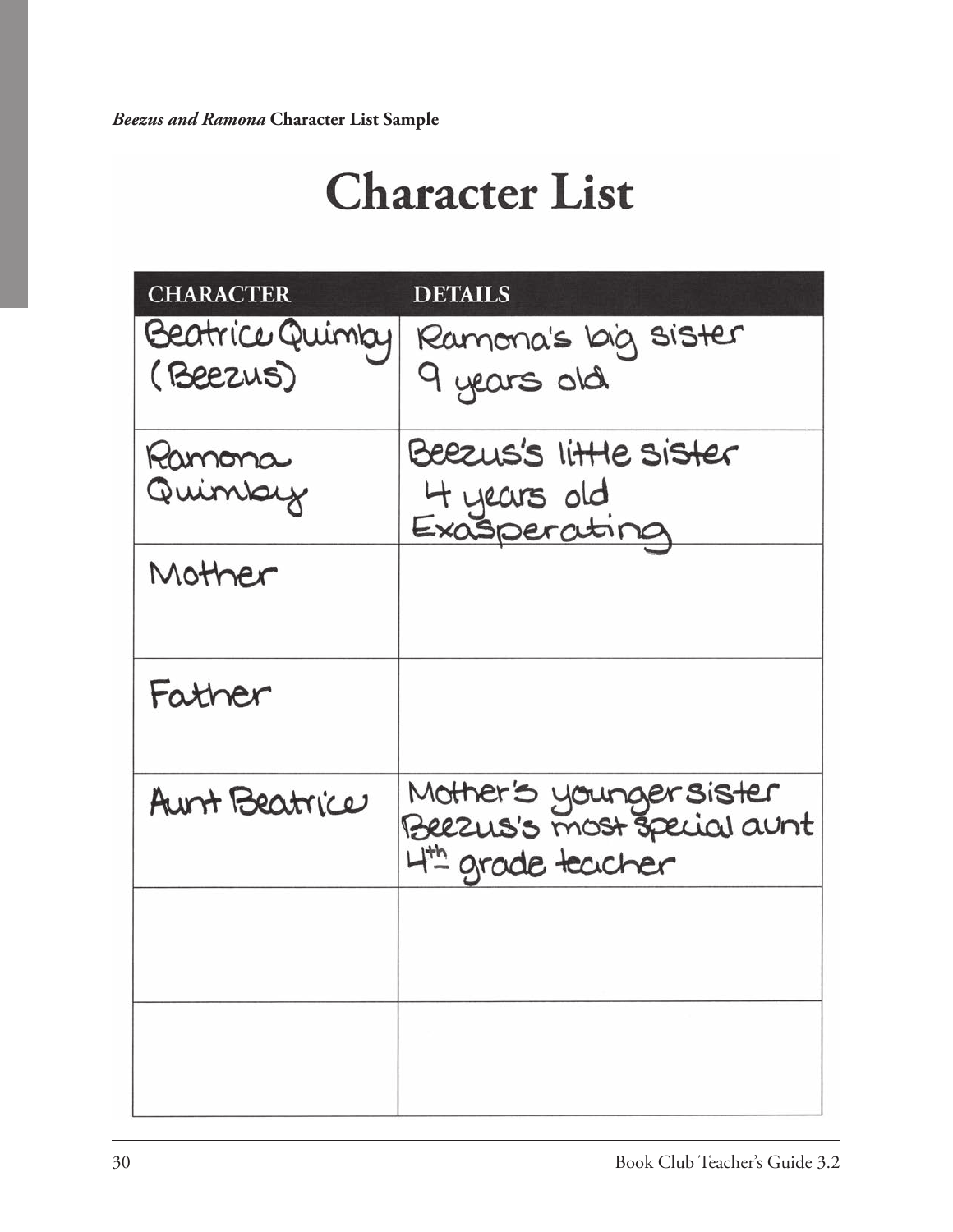| <b>DETAILS</b>                              |
|---------------------------------------------|
| Beatrice Quimby<br>Ramona's big sister      |
| 9 years old                                 |
| Beezus's little sister                      |
| 4 years old<br>Exasperating                 |
|                                             |
|                                             |
| Mother's youngersister<br>4th grade teacher |
|                                             |
|                                             |
|                                             |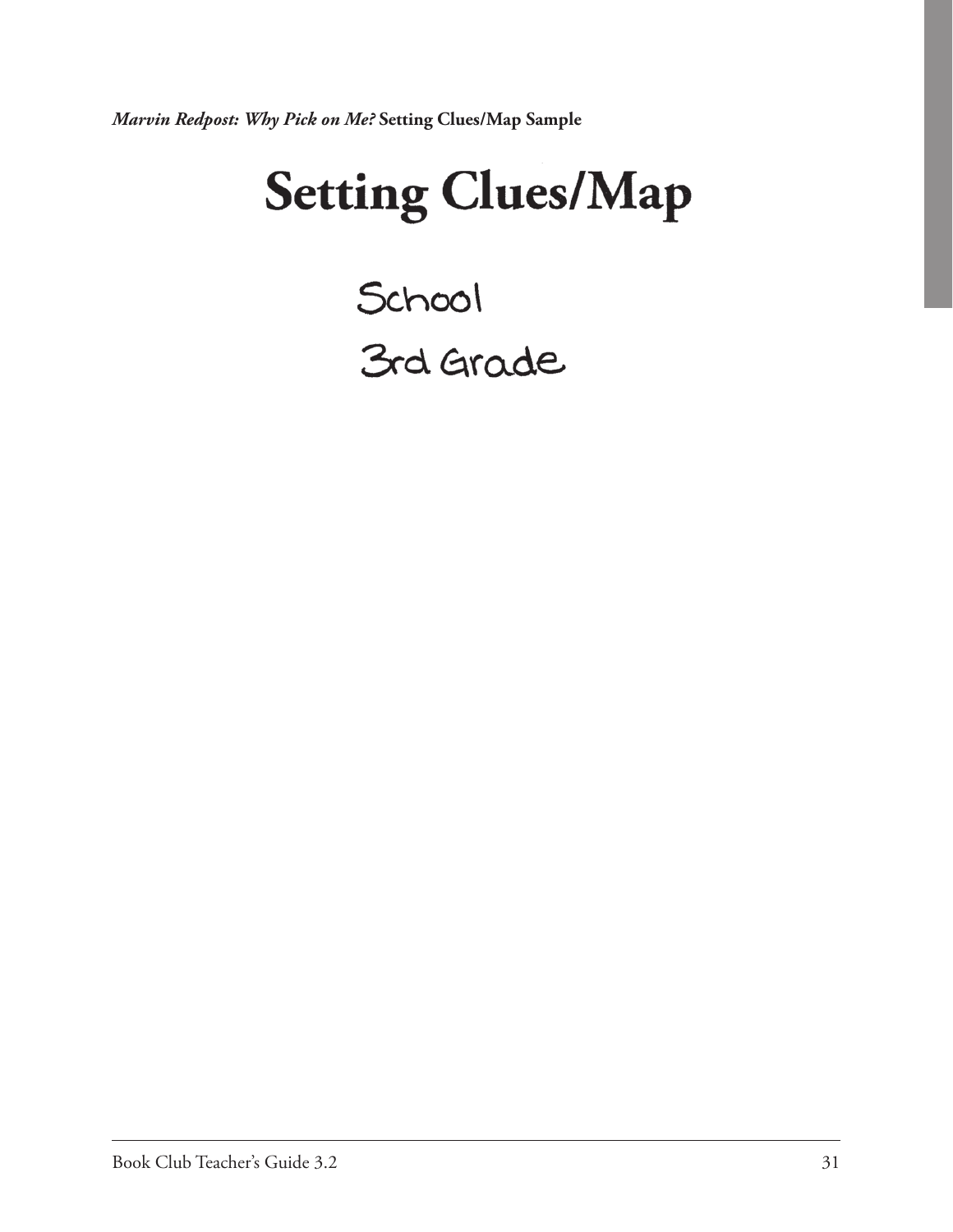*Marvin Redpost: Why Pick on Me?* **Setting Clues/Map Sample**

# **Setting Clues/Map**

School<br>3rd Grade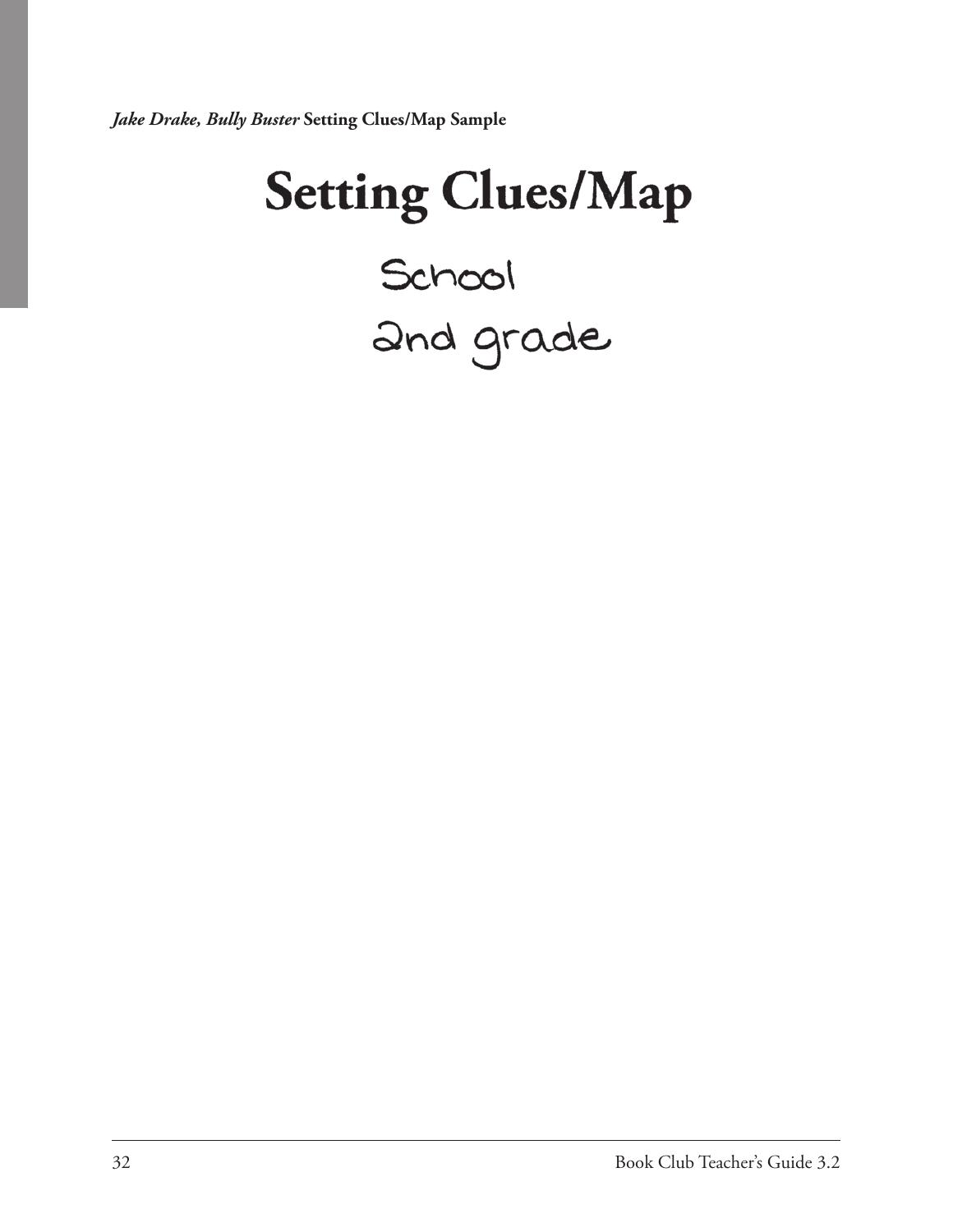*Jake Drake, Bully Buster* **Setting Clues/Map Sample**

# **Setting Clues/Map** School<br>2nd grade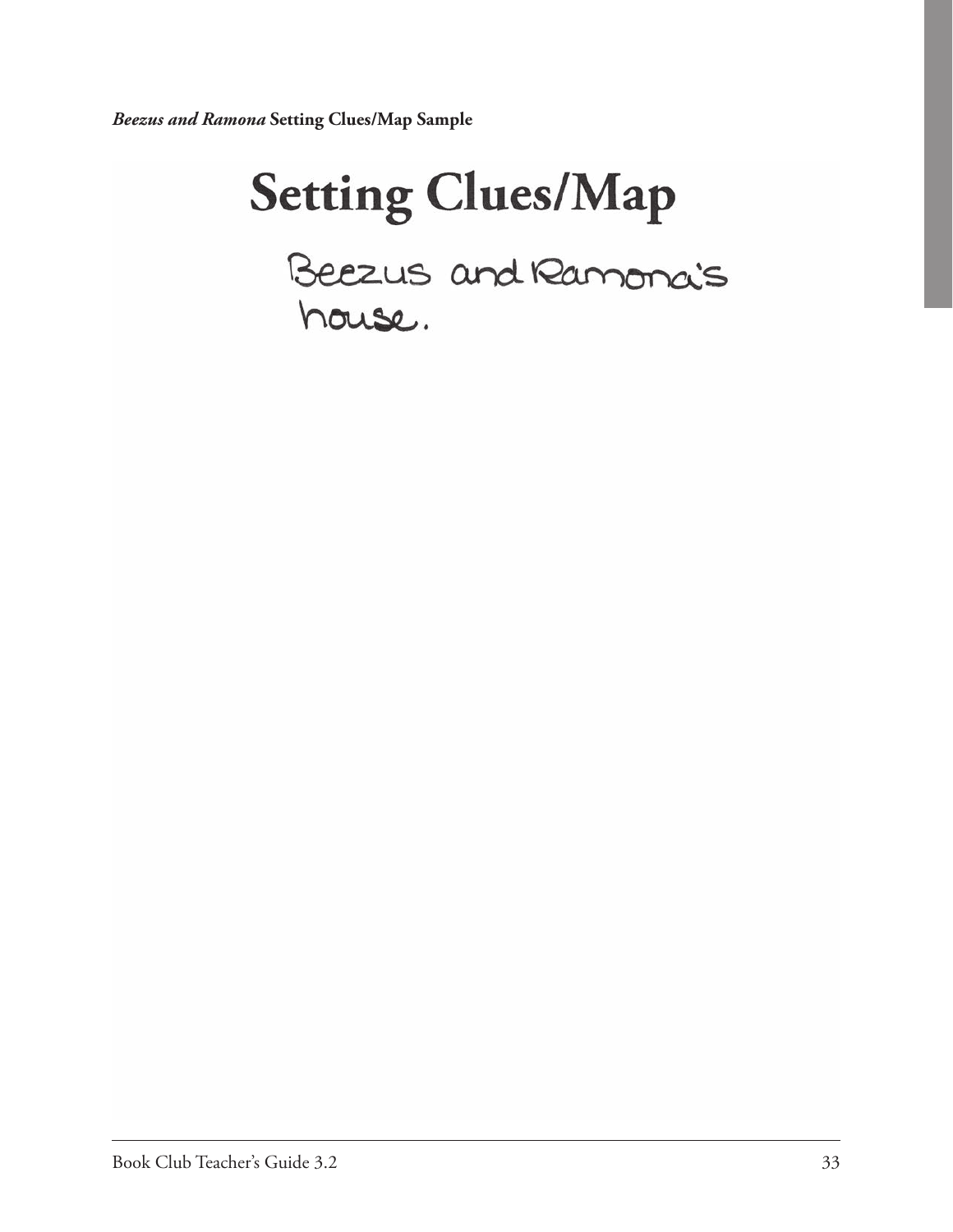*Beezus and Ramona* **Setting Clues/Map Sample**

# **Setting Clues/Map** Beezus and Ramonais house.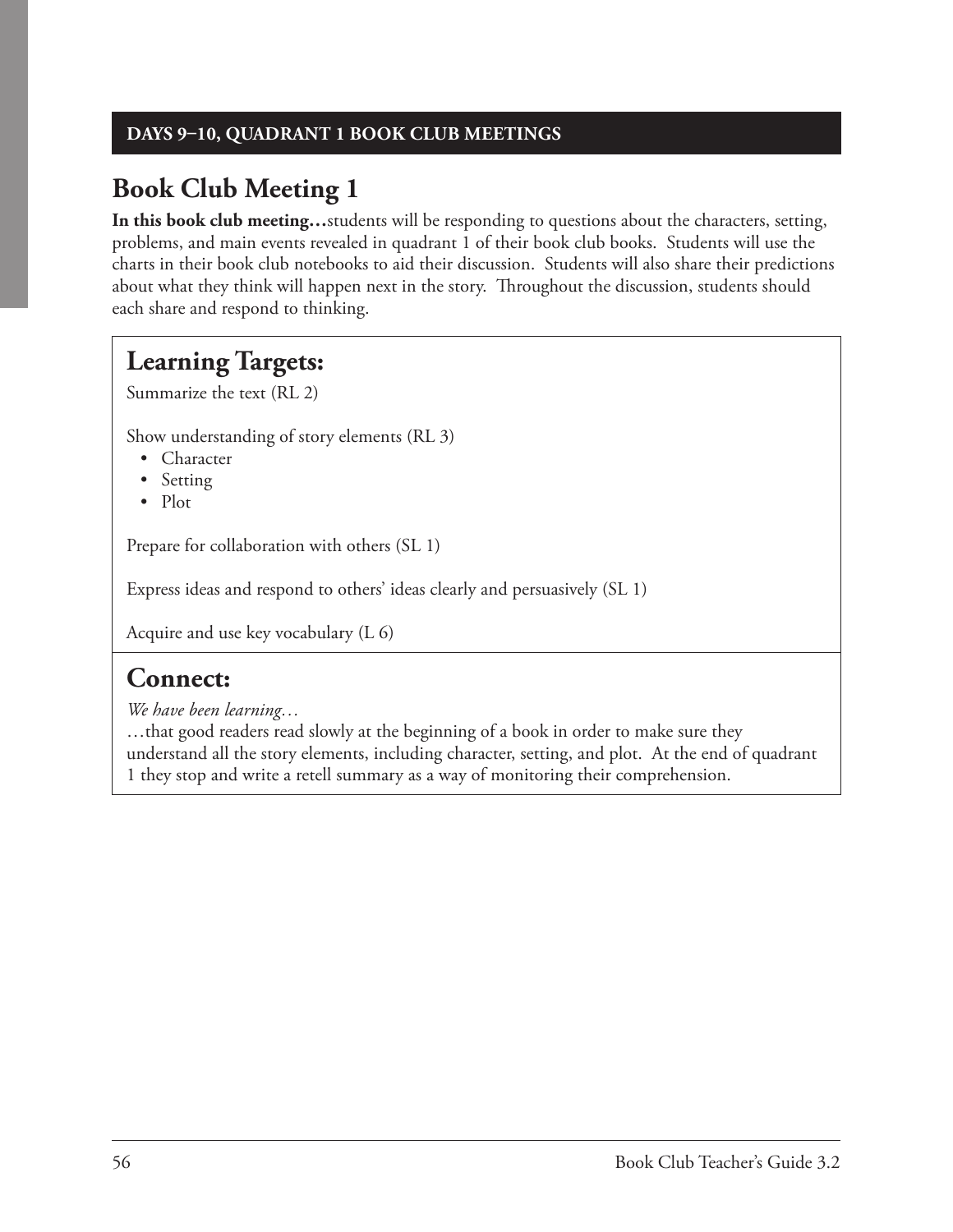#### **DAYS 9–10, QUADRANT 1 BOOK CLUB MEETINGS**

### **Book Club Meeting 1**

**In this book club meeting…**students will be responding to questions about the characters, setting, problems, and main events revealed in quadrant 1 of their book club books. Students will use the charts in their book club notebooks to aid their discussion. Students will also share their predictions about what they think will happen next in the story. Throughout the discussion, students should each share and respond to thinking.

### **Learning Targets:**

Summarize the text (RL 2)

Show understanding of story elements (RL 3)

- Character
- Setting
- Plot

Prepare for collaboration with others (SL 1)

Express ideas and respond to others' ideas clearly and persuasively (SL 1)

Acquire and use key vocabulary (L 6)

### **Connect:**

*We have been learning…*

…that good readers read slowly at the beginning of a book in order to make sure they understand all the story elements, including character, setting, and plot. At the end of quadrant 1 they stop and write a retell summary as a way of monitoring their comprehension.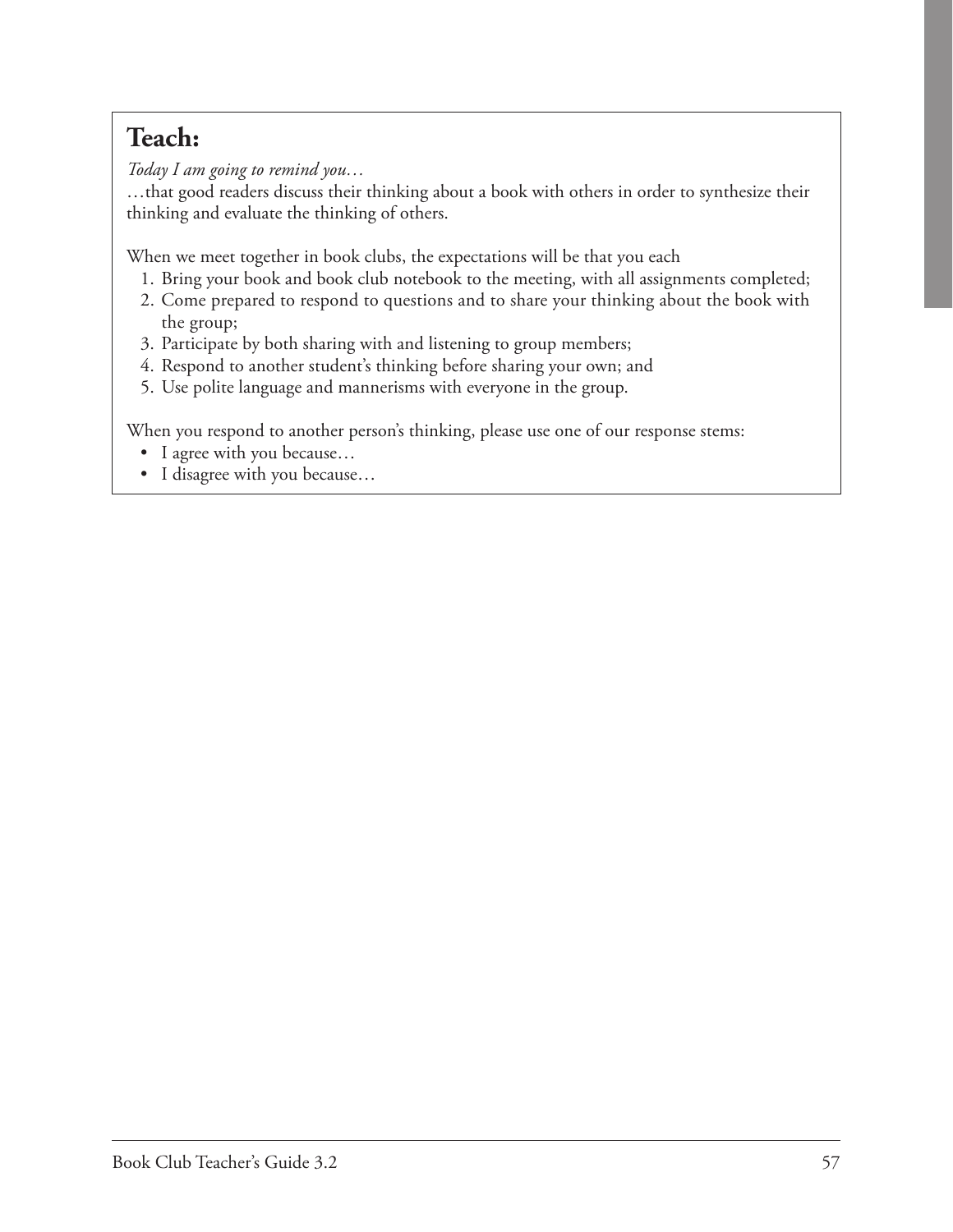## **Teach:**

*Today I am going to remind you…*

…that good readers discuss their thinking about a book with others in order to synthesize their thinking and evaluate the thinking of others.

When we meet together in book clubs, the expectations will be that you each

- 1. Bring your book and book club notebook to the meeting, with all assignments completed;
- 2. Come prepared to respond to questions and to share your thinking about the book with the group;
- 3. Participate by both sharing with and listening to group members;
- 4. Respond to another student's thinking before sharing your own; and
- 5. Use polite language and mannerisms with everyone in the group.

When you respond to another person's thinking, please use one of our response stems:

- I agree with you because…
- I disagree with you because…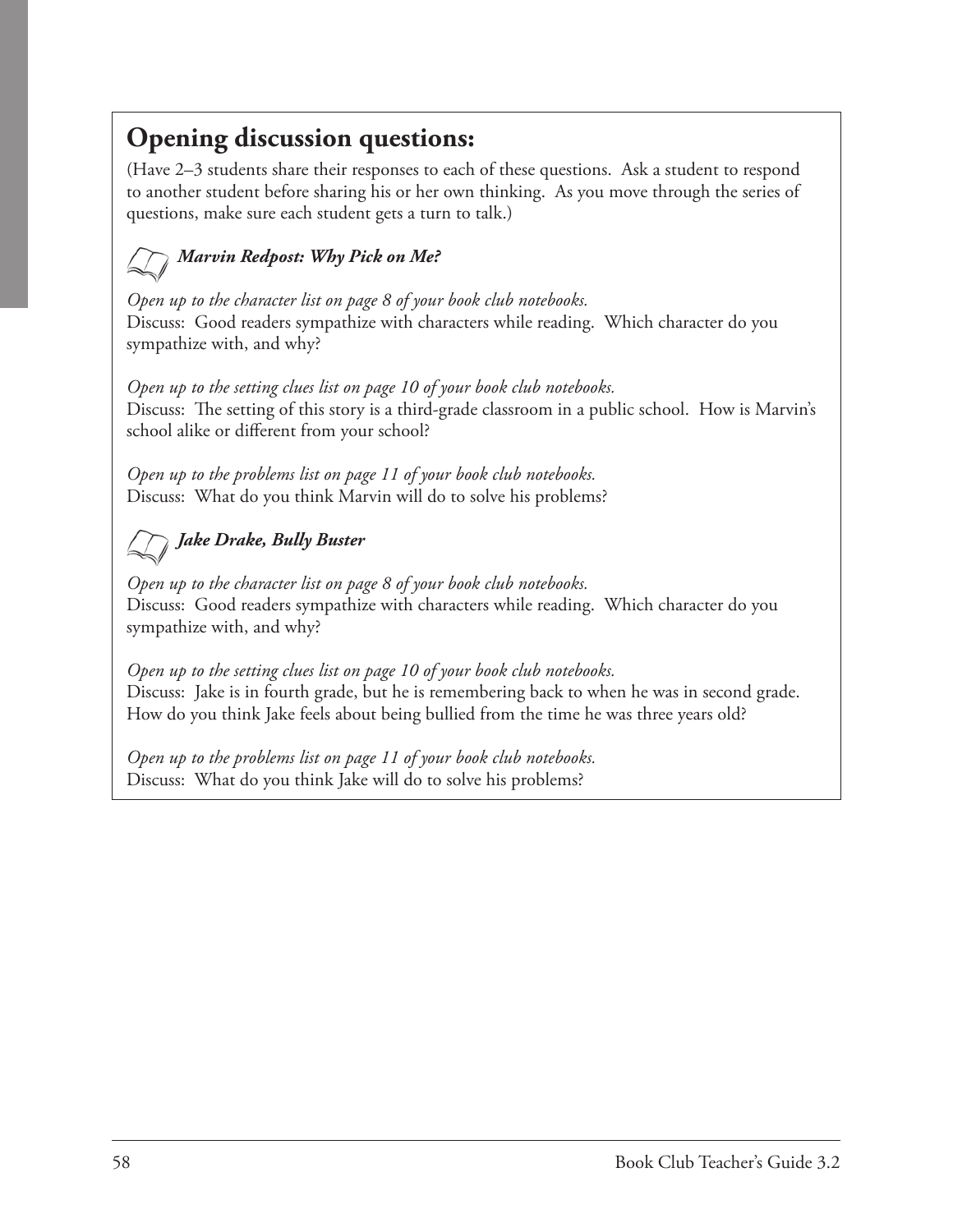### **Opening discussion questions:**

(Have 2–3 students share their responses to each of these questions. Ask a student to respond to another student before sharing his or her own thinking. As you move through the series of questions, make sure each student gets a turn to talk.)

### *Marvin Redpost: Why Pick on Me?*

 *Open up to the character list on page 8 of your book club notebooks.*  Discuss: Good readers sympathize with characters while reading. Which character do you sympathize with, and why?

*Open up to the setting clues list on page 10 of your book club notebooks.* Discuss: The setting of this story is a third-grade classroom in a public school. How is Marvin's school alike or different from your school?

*Open up to the problems list on page 11 of your book club notebooks.* Discuss: What do you think Marvin will do to solve his problems?

### *Jake Drake, Bully Buster*

*Open up to the character list on page 8 of your book club notebooks.*  Discuss: Good readers sympathize with characters while reading. Which character do you sympathize with, and why?

*Open up to the setting clues list on page 10 of your book club notebooks.* Discuss: Jake is in fourth grade, but he is remembering back to when he was in second grade. How do you think Jake feels about being bullied from the time he was three years old?

*Open up to the problems list on page 11 of your book club notebooks.* Discuss: What do you think Jake will do to solve his problems?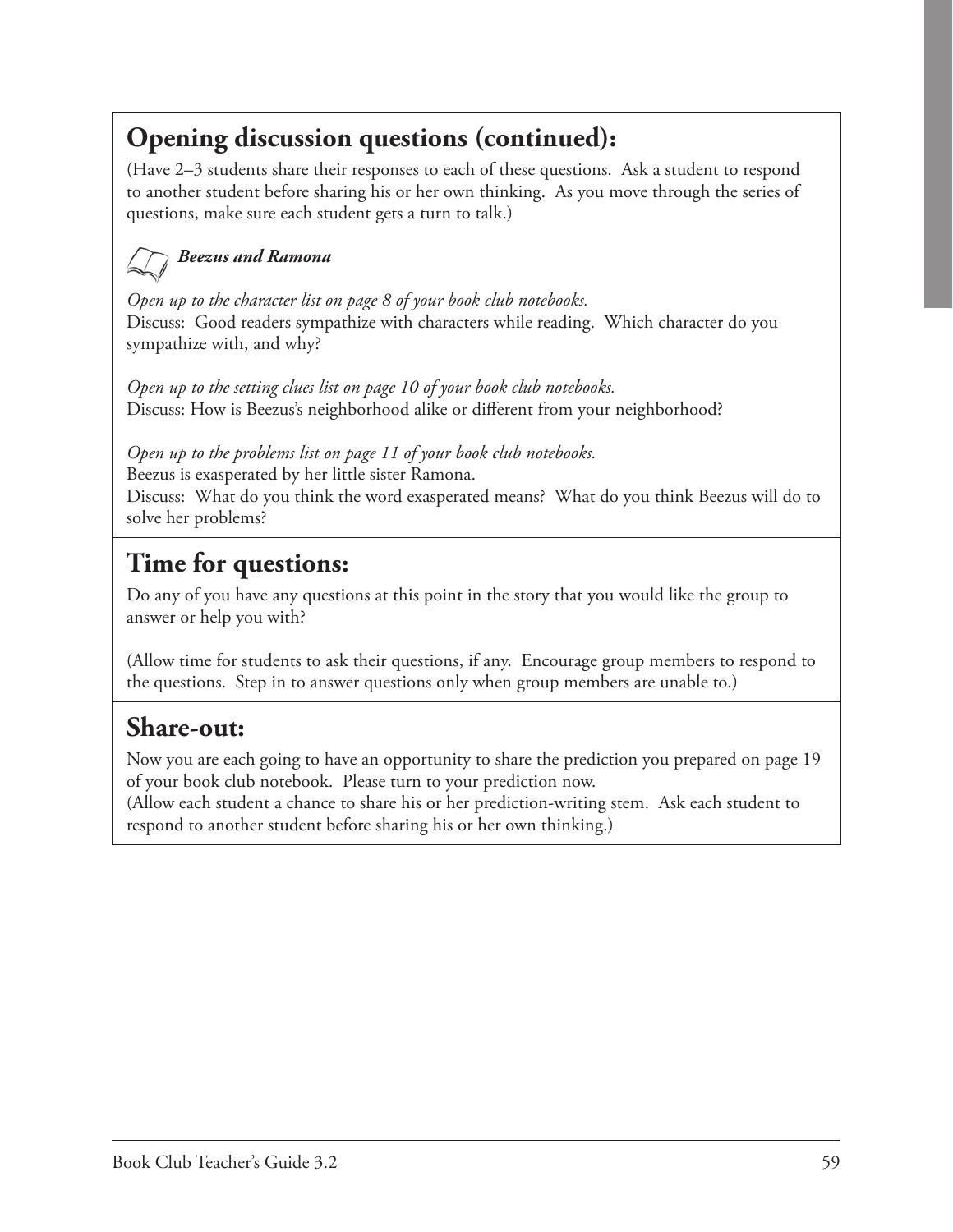## **Opening discussion questions (continued):**

(Have 2–3 students share their responses to each of these questions. Ask a student to respond to another student before sharing his or her own thinking. As you move through the series of questions, make sure each student gets a turn to talk.)

#### *Beezus and Ramona*

 *Open up to the character list on page 8 of your book club notebooks.*  Discuss: Good readers sympathize with characters while reading. Which character do you sympathize with, and why?

*Open up to the setting clues list on page 10 of your book club notebooks.* Discuss: How is Beezus's neighborhood alike or different from your neighborhood?

*Open up to the problems list on page 11 of your book club notebooks.*

Beezus is exasperated by her little sister Ramona.

Discuss: What do you think the word exasperated means? What do you think Beezus will do to solve her problems?

### **Time for questions:**

Do any of you have any questions at this point in the story that you would like the group to answer or help you with?

(Allow time for students to ask their questions, if any. Encourage group members to respond to the questions. Step in to answer questions only when group members are unable to.)

### **Share-out:**

Now you are each going to have an opportunity to share the prediction you prepared on page 19 of your book club notebook. Please turn to your prediction now.

(Allow each student a chance to share his or her prediction-writing stem. Ask each student to respond to another student before sharing his or her own thinking.)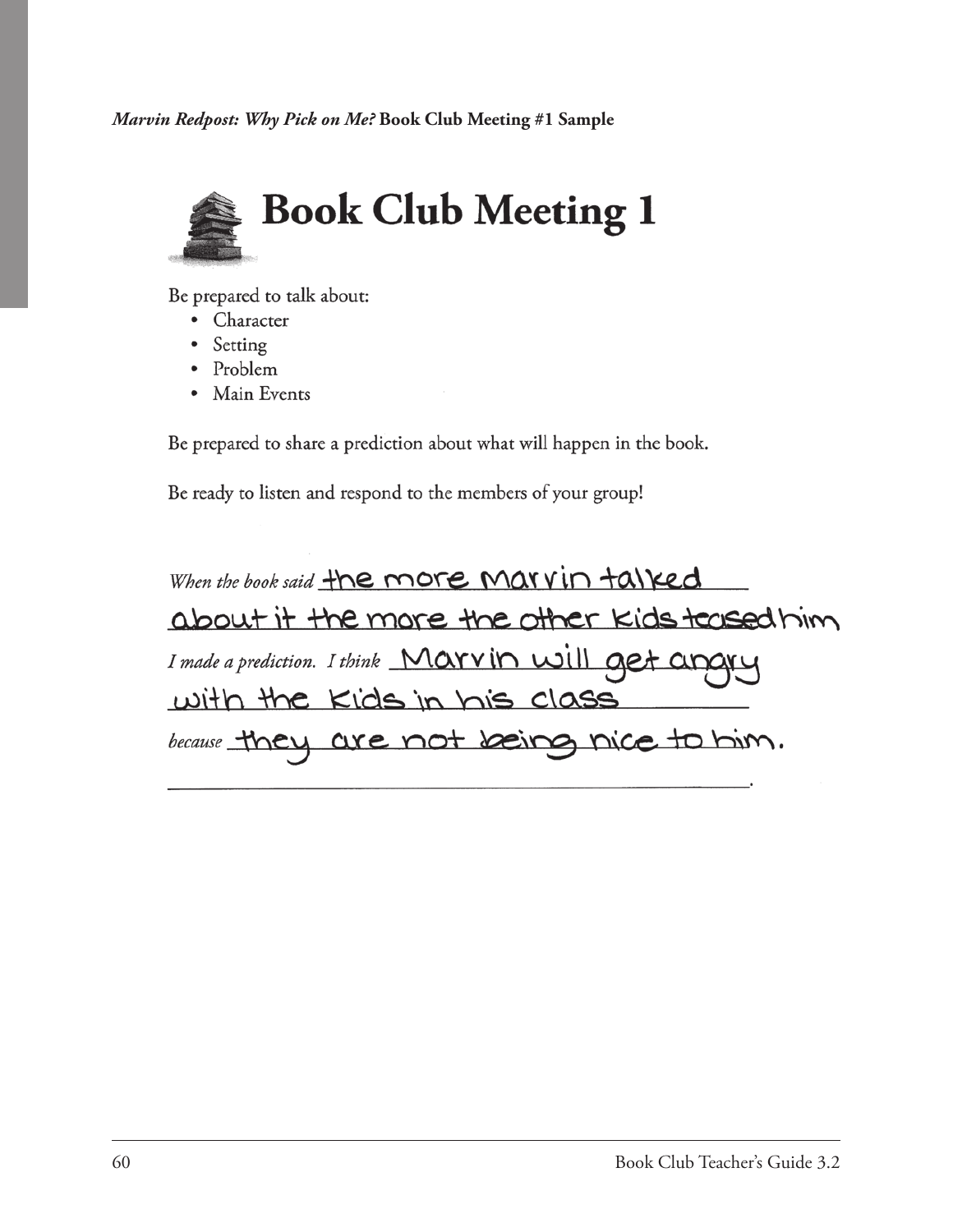*Marvin Redpost: Why Pick on Me?* **Book Club Meeting #1 Sample**



Be prepared to talk about:

- Character
- $\bullet$ Setting
- Problem  $\bullet$
- Main Events  $\bullet$

Be prepared to share a prediction about what will happen in the book.

Be ready to listen and respond to the members of your group!

When the book said the more Marvin talked about it the more the other kids teased him I made a prediction. I think Marvin will get ar with the Kids in his class because they are not being nice to him.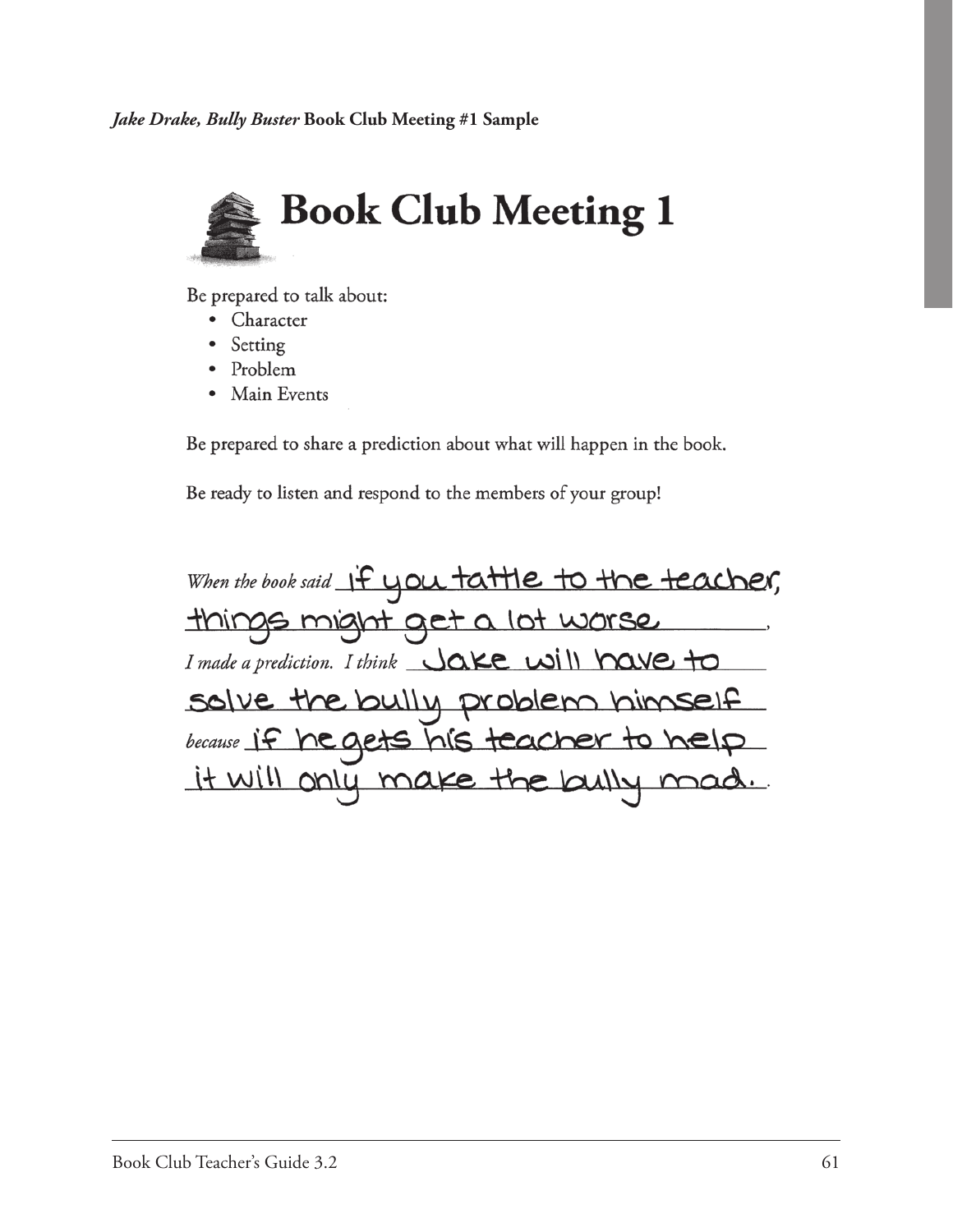

Be prepared to talk about:

- Character
- Setting
- Problem  $\bullet$
- Main Events  $\bullet$

Be prepared to share a prediction about what will happen in the book.

Be ready to listen and respond to the members of your group!

When the book said if you tattle to the teacher, things might get a lot worse I made a prediction. I think  $\bigcup \alpha$ ke will have to solve the bully problem himself because if he gets his teacher to help it will only make the bully mad.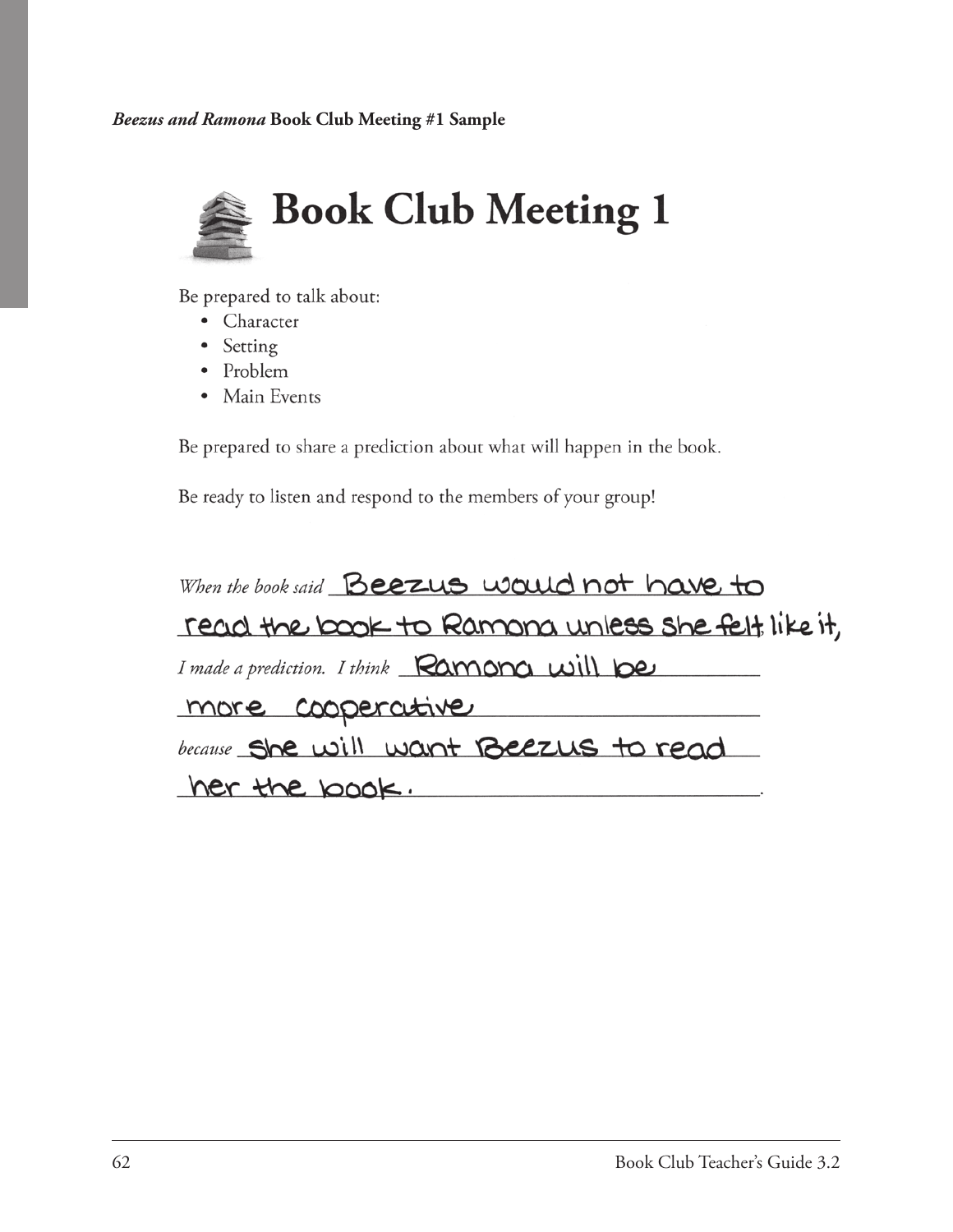*Beezus and Ramona* **Book Club Meeting #1 Sample**



Be prepared to talk about:

- Character
- Setting
- Problem
- Main Events

Be prepared to share a prediction about what will happen in the book.

Be ready to listen and respond to the members of your group!

When the book said Beezus would not have to read the book to Ramona unless she felt like it, I made a prediction. I think Ramona will be more cooperative because She will want Beezus to read her the book.